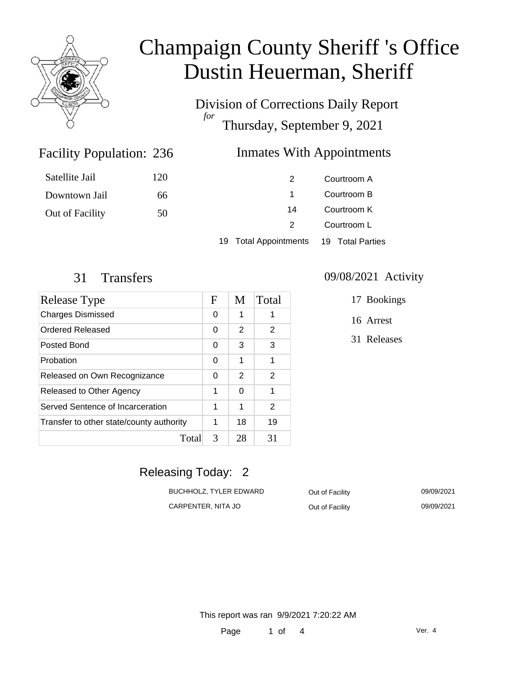

Division of Corrections Daily Report *for* Thursday, September 9, 2021

#### Inmates With Appointments

| Satellite Jail  | 120 | 2                     | Courtroom A      |
|-----------------|-----|-----------------------|------------------|
| Downtown Jail   | 66  |                       | Courtroom B      |
| Out of Facility | 50  | 14                    | Courtroom K      |
|                 |     |                       | Courtroom L      |
|                 |     | 19 Total Appointments | 19 Total Parties |

Facility Population: 236

| Release Type                             | $\mathbf F$ | M  | Total |
|------------------------------------------|-------------|----|-------|
| <b>Charges Dismissed</b>                 | 0           | 1  | 1     |
| Ordered Released                         | 0           | 2  | 2     |
| Posted Bond                              | 0           | 3  | 3     |
| Probation                                | 0           | 1  | 1     |
| Released on Own Recognizance             | 0           | 2  | 2     |
| Released to Other Agency                 | 1           | 0  | 1     |
| Served Sentence of Incarceration         | 1           | 1  | 2     |
| Transfer to other state/county authority | 1           | 18 | 19    |
| Total                                    | 3           | 28 | 31    |

#### 31 Transfers 09/08/2021 Activity

17 Bookings

16 Arrest

31 Releases

### Releasing Today: 2

| BUCHHOLZ. TYLER EDWARD | Out of Facility | 09/09/2021 |
|------------------------|-----------------|------------|
| CARPENTER, NITA JO     | Out of Facility | 09/09/2021 |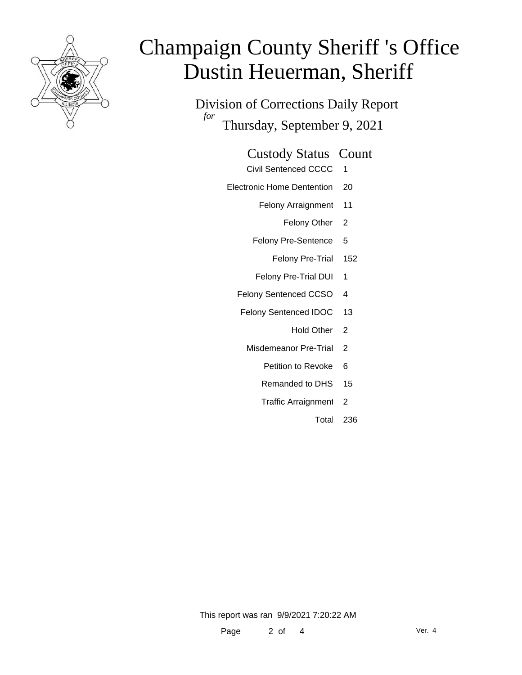

Division of Corrections Daily Report *for* Thursday, September 9, 2021

#### Custody Status Count

- Civil Sentenced CCCC 1
- Electronic Home Dentention 20
	- Felony Arraignment 11
		- Felony Other 2
	- Felony Pre-Sentence 5
		- Felony Pre-Trial 152
	- Felony Pre-Trial DUI 1
	- Felony Sentenced CCSO 4
	- Felony Sentenced IDOC 13
		- Hold Other<sub>2</sub>
		- Misdemeanor Pre-Trial 2
			- Petition to Revoke 6
			- Remanded to DHS 15
			- Traffic Arraignment 2
				- Total 236

This report was ran 9/9/2021 7:20:22 AM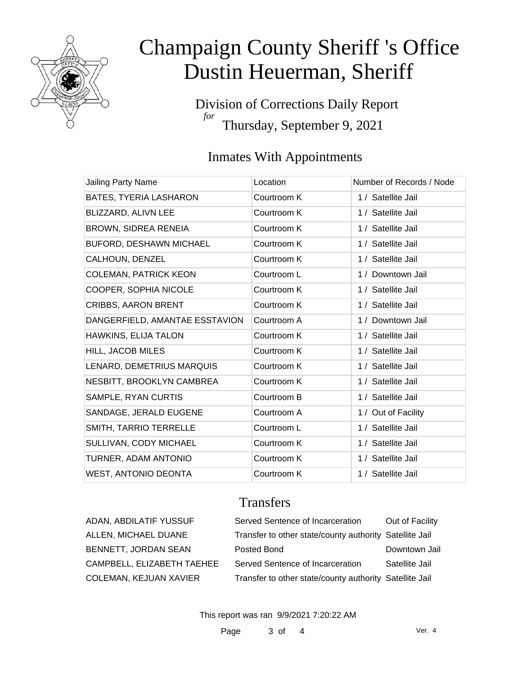

Division of Corrections Daily Report *for* Thursday, September 9, 2021

### Inmates With Appointments

| Jailing Party Name             | Location    | Number of Records / Node |
|--------------------------------|-------------|--------------------------|
| BATES, TYERIA LASHARON         | Courtroom K | 1 / Satellite Jail       |
| BLIZZARD, ALIVN LEE            | Courtroom K | 1 / Satellite Jail       |
| BROWN, SIDREA RENEIA           | Courtroom K | 1 / Satellite Jail       |
| <b>BUFORD, DESHAWN MICHAEL</b> | Courtroom K | 1 / Satellite Jail       |
| CALHOUN, DENZEL                | Courtroom K | 1 / Satellite Jail       |
| <b>COLEMAN, PATRICK KEON</b>   | Courtroom L | 1 / Downtown Jail        |
| COOPER, SOPHIA NICOLE          | Courtroom K | 1 / Satellite Jail       |
| <b>CRIBBS, AARON BRENT</b>     | Courtroom K | 1 / Satellite Jail       |
| DANGERFIELD, AMANTAE ESSTAVION | Courtroom A | 1 / Downtown Jail        |
| HAWKINS, ELIJA TALON           | Courtroom K | 1 / Satellite Jail       |
| <b>HILL, JACOB MILES</b>       | Courtroom K | 1 / Satellite Jail       |
| LENARD, DEMETRIUS MARQUIS      | Courtroom K | 1 / Satellite Jail       |
| NESBITT, BROOKLYN CAMBREA      | Courtroom K | 1 / Satellite Jail       |
| SAMPLE, RYAN CURTIS            | Courtroom B | 1 / Satellite Jail       |
| SANDAGE, JERALD EUGENE         | Courtroom A | 1 / Out of Facility      |
| SMITH, TARRIO TERRELLE         | Courtroom L | 1 / Satellite Jail       |
| SULLIVAN, CODY MICHAEL         | Courtroom K | 1 / Satellite Jail       |
| TURNER, ADAM ANTONIO           | Courtroom K | 1 / Satellite Jail       |
| WEST, ANTONIO DEONTA           | Courtroom K | 1 / Satellite Jail       |

#### **Transfers**

| ADAN, ABDILATIF YUSSUF     | Served Sentence of Incarceration                        | Out of Facility |
|----------------------------|---------------------------------------------------------|-----------------|
| ALLEN, MICHAEL DUANE       | Transfer to other state/county authority Satellite Jail |                 |
| BENNETT, JORDAN SEAN       | Posted Bond                                             | Downtown Jail   |
| CAMPBELL, ELIZABETH TAEHEE | Served Sentence of Incarceration                        | Satellite Jail  |
| COLEMAN, KEJUAN XAVIER     | Transfer to other state/county authority Satellite Jail |                 |

This report was ran 9/9/2021 7:20:22 AM